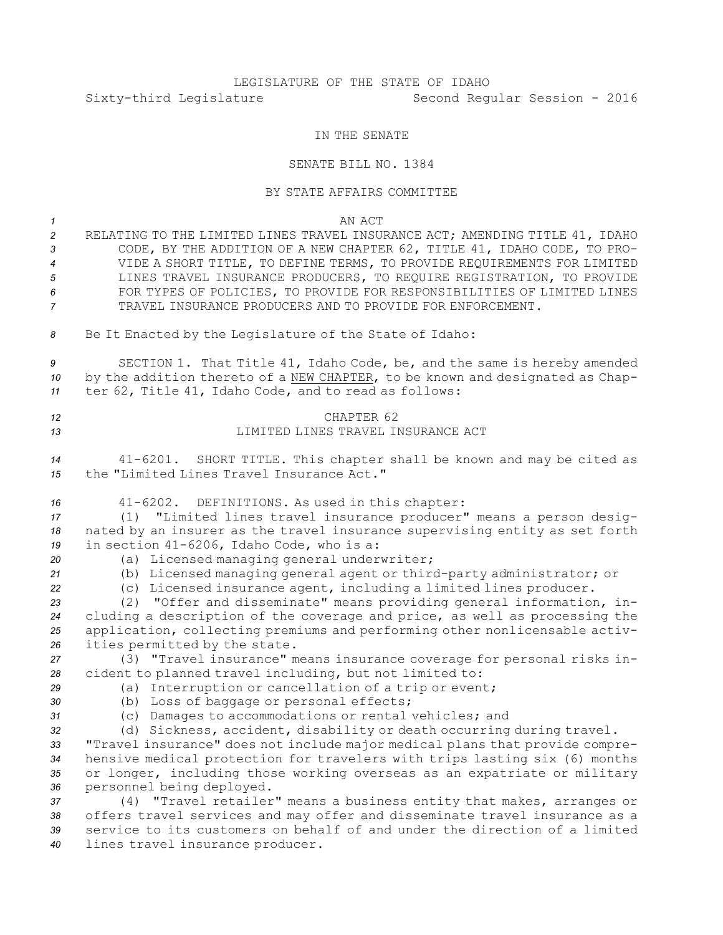## LEGISLATURE OF THE STATE OF IDAHO Sixty-third Legislature Second Regular Session - 2016

## IN THE SENATE

## SENATE BILL NO. 1384

## BY STATE AFFAIRS COMMITTEE

*1* AN ACT

- *<sup>2</sup>* RELATING TO THE LIMITED LINES TRAVEL INSURANCE ACT; AMENDING TITLE 41, IDAHO *<sup>3</sup>* CODE, BY THE ADDITION OF A NEW CHAPTER 62, TITLE 41, IDAHO CODE, TO PRO-*4* VIDE A SHORT TITLE, TO DEFINE TERMS, TO PROVIDE REQUIREMENTS FOR LIMITED *5* LINES TRAVEL INSURANCE PRODUCERS, TO REQUIRE REGISTRATION, TO PROVIDE *6* FOR TYPES OF POLICIES, TO PROVIDE FOR RESPONSIBILITIES OF LIMITED LINES *7* TRAVEL INSURANCE PRODUCERS AND TO PROVIDE FOR ENFORCEMENT.
- *<sup>8</sup>* Be It Enacted by the Legislature of the State of Idaho:

*<sup>9</sup>* SECTION 1. That Title 41, Idaho Code, be, and the same is hereby amended *<sup>10</sup>* by the addition thereto of <sup>a</sup> NEW CHAPTER, to be known and designated as Chap-*<sup>11</sup>* ter 62, Title 41, Idaho Code, and to read as follows:

*12* CHAPTER 62 *13* LIMITED LINES TRAVEL INSURANCE ACT

*<sup>14</sup>* 41-6201. SHORT TITLE. This chapter shall be known and may be cited as *15* the "Limited Lines Travel Insurance Act."

*<sup>16</sup>* 41-6202. DEFINITIONS. As used in this chapter:

*<sup>17</sup>* (1) "Limited lines travel insurance producer" means <sup>a</sup> person desig-*<sup>18</sup>* nated by an insurer as the travel insurance supervising entity as set forth *<sup>19</sup>* in section 41-6206, Idaho Code, who is a:

- 
- *<sup>20</sup>* (a) Licensed managing general underwriter;

*<sup>21</sup>* (b) Licensed managing general agent or third-party administrator; or

*<sup>22</sup>* (c) Licensed insurance agent, including <sup>a</sup> limited lines producer.

 (2) "Offer and disseminate" means providing general information, in- cluding <sup>a</sup> description of the coverage and price, as well as processing the application, collecting premiums and performing other nonlicensable activ-ities permitted by the state.

*<sup>27</sup>* (3) "Travel insurance" means insurance coverage for personal risks in-*<sup>28</sup>* cident to planned travel including, but not limited to:

*<sup>29</sup>* (a) Interruption or cancellation of <sup>a</sup> trip or event;

- *<sup>30</sup>* (b) Loss of baggage or personal effects;
- 
- *<sup>31</sup>* (c) Damages to accommodations or rental vehicles; and *<sup>32</sup>* (d) Sickness, accident, disability or death occurring during travel.

 "Travel insurance" does not include major medical plans that provide compre- hensive medical protection for travelers with trips lasting six (6) months or longer, including those working overseas as an expatriate or military personnel being deployed.

 (4) "Travel retailer" means <sup>a</sup> business entity that makes, arranges or offers travel services and may offer and disseminate travel insurance as <sup>a</sup> service to its customers on behalf of and under the direction of <sup>a</sup> limited lines travel insurance producer.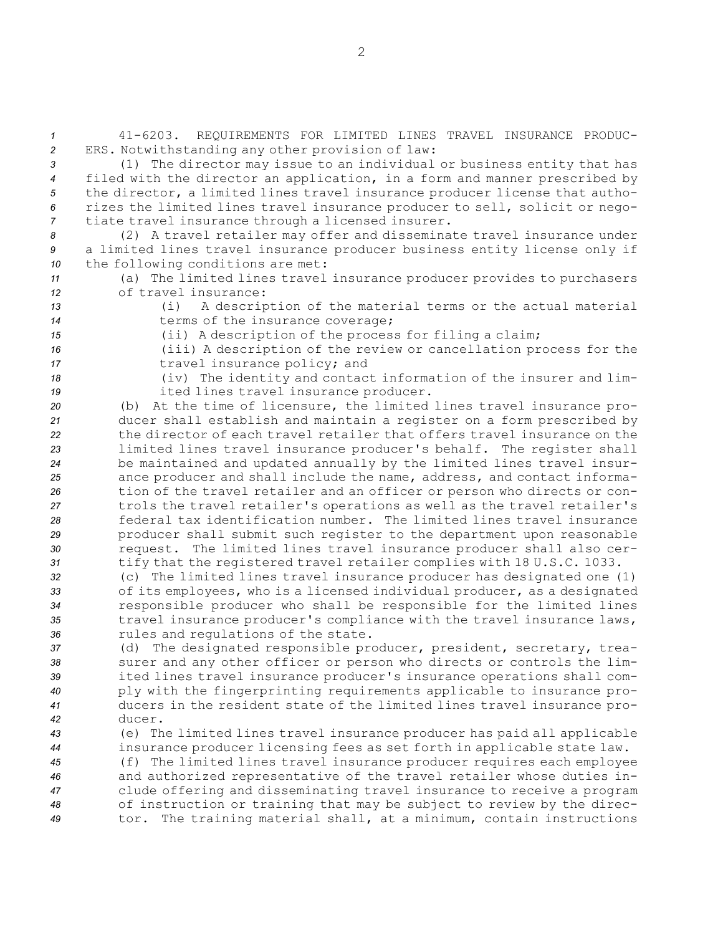*1* 41-6203. REQUIREMENTS FOR LIMITED LINES TRAVEL INSURANCE PRODUC-*<sup>2</sup>* ERS. Notwithstanding any other provision of law:

 (1) The director may issue to an individual or business entity that has filed with the director an application, in <sup>a</sup> form and manner prescribed by the director, <sup>a</sup> limited lines travel insurance producer license that autho- rizes the limited lines travel insurance producer to sell, solicit or nego-tiate travel insurance through <sup>a</sup> licensed insurer.

*<sup>8</sup>* (2) <sup>A</sup> travel retailer may offer and disseminate travel insurance under *<sup>9</sup>* <sup>a</sup> limited lines travel insurance producer business entity license only if *<sup>10</sup>* the following conditions are met:

*<sup>11</sup>* (a) The limited lines travel insurance producer provides to purchasers *12* of travel insurance:

*<sup>13</sup>* (i) <sup>A</sup> description of the material terms or the actual material *<sup>14</sup>* terms of the insurance coverage;

*<sup>15</sup>* (ii) <sup>A</sup> description of the process for filing <sup>a</sup> claim;

*<sup>16</sup>* (iii) <sup>A</sup> description of the review or cancellation process for the 17 travel insurance policy; and

*<sup>18</sup>* (iv) The identity and contact information of the insurer and lim-*<sup>19</sup>* ited lines travel insurance producer.

 (b) At the time of licensure, the limited lines travel insurance pro- ducer shall establish and maintain <sup>a</sup> register on <sup>a</sup> form prescribed by the director of each travel retailer that offers travel insurance on the limited lines travel insurance producer's behalf. The register shall be maintained and updated annually by the limited lines travel insur- ance producer and shall include the name, address, and contact informa- tion of the travel retailer and an officer or person who directs or con- trols the travel retailer's operations as well as the travel retailer's federal tax identification number. The limited lines travel insurance producer shall submit such register to the department upon reasonable request. The limited lines travel insurance producer shall also cer-tify that the registered travel retailer complies with 18 U.S.C. 1033.

 (c) The limited lines travel insurance producer has designated one (1) of its employees, who is <sup>a</sup> licensed individual producer, as <sup>a</sup> designated responsible producer who shall be responsible for the limited lines 35 travel insurance producer's compliance with the travel insurance laws, rules and regulations of the state.

 (d) The designated responsible producer, president, secretary, trea- surer and any other officer or person who directs or controls the lim- ited lines travel insurance producer's insurance operations shall com- ply with the fingerprinting requirements applicable to insurance pro- ducers in the resident state of the limited lines travel insurance pro-*42* ducer.

*<sup>43</sup>* (e) The limited lines travel insurance producer has paid all applicable *<sup>44</sup>* insurance producer licensing fees as set forth in applicable state law.

 (f) The limited lines travel insurance producer requires each employee and authorized representative of the travel retailer whose duties in- clude offering and disseminating travel insurance to receive <sup>a</sup> program of instruction or training that may be subject to review by the direc-tor. The training material shall, at <sup>a</sup> minimum, contain instructions